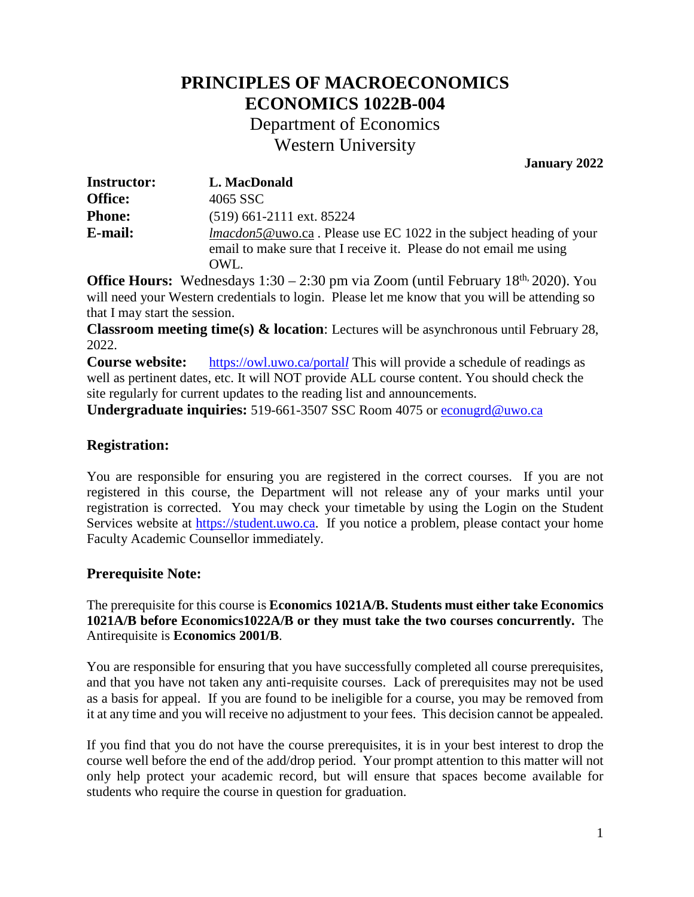## **PRINCIPLES OF MACROECONOMICS ECONOMICS 1022B-004** Department of Economics

Western University

**January 2022**

| <b>Instructor:</b> | L. MacDonald                                                                                                                                             |
|--------------------|----------------------------------------------------------------------------------------------------------------------------------------------------------|
| <b>Office:</b>     | 4065 SSC                                                                                                                                                 |
| <b>Phone:</b>      | $(519)$ 661-2111 ext. 85224                                                                                                                              |
| E-mail:            | <i>lmacdon5</i> @uwo.ca. Please use EC 1022 in the subject heading of your<br>email to make sure that I receive it. Please do not email me using<br>OWL. |

**Office Hours:** Wednesdays 1:30 – 2:30 pm via Zoom (until February 18<sup>th, 2020). You</sup> will need your Western credentials to login. Please let me know that you will be attending so that I may start the session.

**Classroom meeting time(s) & location**: Lectures will be asynchronous until February 28, 2022.

**Course website:** [https://owl.uwo.ca/portal](https://owl.uwo.ca/portall)*l* This will provide a schedule of readings as well as pertinent dates, etc. It will NOT provide ALL course content. You should check the site regularly for current updates to the reading list and announcements.

**Undergraduate inquiries:** 519-661-3507 SSC Room 4075 or [econugrd@uwo.ca](mailto:econugrd@uwo.ca)

## **Registration:**

You are responsible for ensuring you are registered in the correct courses. If you are not registered in this course, the Department will not release any of your marks until your registration is corrected. You may check your timetable by using the Login on the Student Services website at [https://student.uwo.ca.](https://student.uwo.ca/) If you notice a problem, please contact your home Faculty Academic Counsellor immediately.

## **Prerequisite Note:**

The prerequisite for this course is **Economics 1021A/B. Students must either take Economics 1021A/B before Economics1022A/B or they must take the two courses concurrently.** The Antirequisite is **Economics 2001/B**.

You are responsible for ensuring that you have successfully completed all course prerequisites, and that you have not taken any anti-requisite courses. Lack of prerequisites may not be used as a basis for appeal. If you are found to be ineligible for a course, you may be removed from it at any time and you will receive no adjustment to your fees. This decision cannot be appealed.

If you find that you do not have the course prerequisites, it is in your best interest to drop the course well before the end of the add/drop period. Your prompt attention to this matter will not only help protect your academic record, but will ensure that spaces become available for students who require the course in question for graduation.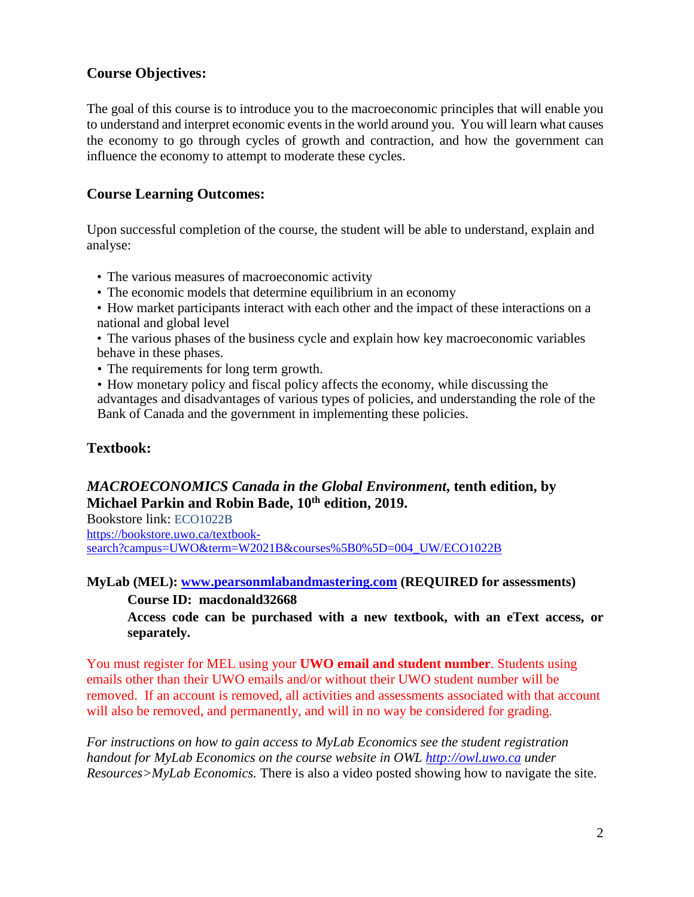## **Course Objectives:**

The goal of this course is to introduce you to the macroeconomic principles that will enable you to understand and interpret economic events in the world around you. You will learn what causes the economy to go through cycles of growth and contraction, and how the government can influence the economy to attempt to moderate these cycles.

## **Course Learning Outcomes:**

Upon successful completion of the course, the student will be able to understand, explain and analyse:

- The various measures of macroeconomic activity
- The economic models that determine equilibrium in an economy
- How market participants interact with each other and the impact of these interactions on a national and global level
- The various phases of the business cycle and explain how key macroeconomic variables behave in these phases.
- The requirements for long term growth.
- How monetary policy and fiscal policy affects the economy, while discussing the advantages and disadvantages of various types of policies, and understanding the role of the Bank of Canada and the government in implementing these policies.

## **Textbook:**

## *MACROECONOMICS Canada in the Global Environment***, tenth edition, by Michael Parkin and Robin Bade, 10th edition, 2019.**

Bookstore link: ECO1022B

https://bookstore.uwo.ca/textbooksearch?campus=UWO&term=W2021B&courses%5B0%5D=004\_UW/ECO1022B

## **MyLab (MEL): [www.pearsonmlabandmastering.com](http://www.pearsonmlabandmastering.com/) (REQUIRED for assessments) Course ID: macdonald32668**

**Access code can be purchased with a new textbook, with an eText access, or separately.** 

You must register for MEL using your **UWO email and student number**. Students using emails other than their UWO emails and/or without their UWO student number will be removed. If an account is removed, all activities and assessments associated with that account will also be removed, and permanently, and will in no way be considered for grading.

*For instructions on how to gain access to MyLab Economics see the student registration handout for MyLab Economics on the course website in OWL [http://owl.uwo.ca](http://owl.uwo.ca/) under Resources>MyLab Economics.* There is also a video posted showing how to navigate the site.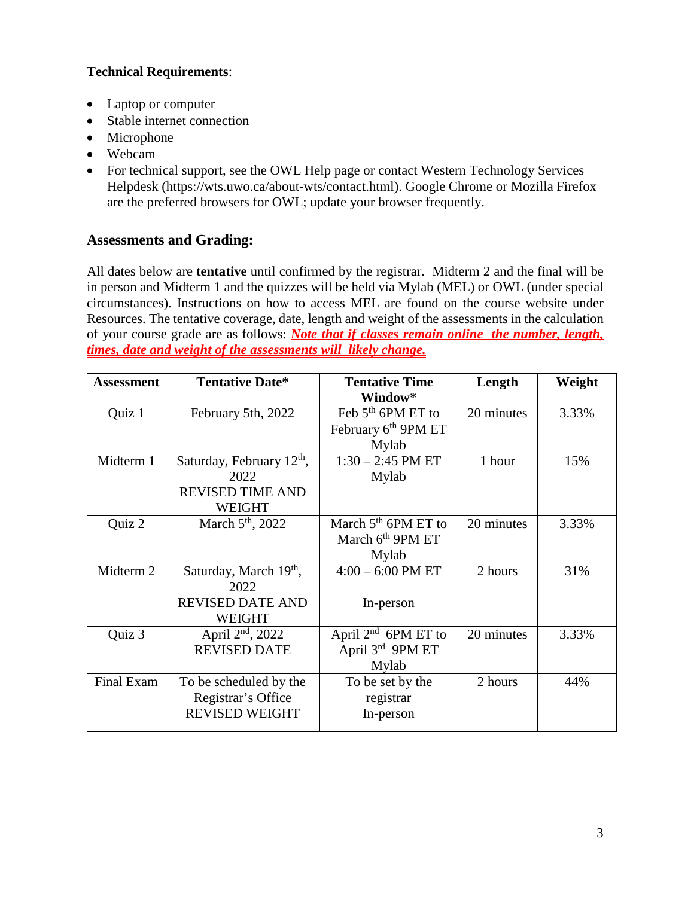## **Technical Requirements**:

- Laptop or computer
- Stable internet connection
- Microphone
- Webcam
- For technical support, see the OWL Help page or contact Western Technology Services Helpdesk [\(https://wts.uwo.ca/about-wts/contact.html\)](https://wts.uwo.ca/about-wts/contact.html). Google Chrome or Mozilla Firefox are the preferred browsers for OWL; update your browser frequently.

## **Assessments and Grading:**

All dates below are **tentative** until confirmed by the registrar. Midterm 2 and the final will be in person and Midterm 1 and the quizzes will be held via Mylab (MEL) or OWL (under special circumstances). Instructions on how to access MEL are found on the course website under Resources. The tentative coverage, date, length and weight of the assessments in the calculation of your course grade are as follows: *Note that if classes remain online the number, length, times, date and weight of the assessments will likely change.* 

| <b>Assessment</b> | <b>Tentative Date*</b>                | <b>Tentative Time</b>           | Length     | Weight |
|-------------------|---------------------------------------|---------------------------------|------------|--------|
|                   |                                       | Window*                         |            |        |
| Quiz 1            | February 5th, 2022                    | Feb $5th$ 6PM ET to             | 20 minutes | 3.33%  |
|                   |                                       | February 6 <sup>th</sup> 9PM ET |            |        |
|                   |                                       | Mylab                           |            |        |
| Midterm 1         | Saturday, February 12 <sup>th</sup> , | $1:30 - 2:45$ PM ET             | 1 hour     | 15%    |
|                   | 2022                                  | Mylab                           |            |        |
|                   | <b>REVISED TIME AND</b>               |                                 |            |        |
|                   | <b>WEIGHT</b>                         |                                 |            |        |
| Quiz 2            | March 5 <sup>th</sup> , 2022          | March $5th$ 6PM ET to           | 20 minutes | 3.33%  |
|                   |                                       | March 6 <sup>th</sup> 9PM ET    |            |        |
|                   |                                       | Mylab                           |            |        |
| Midterm 2         | Saturday, March 19 <sup>th</sup> ,    | $4:00 - 6:00$ PM ET             | 2 hours    | 31%    |
|                   | 2022                                  |                                 |            |        |
|                   | <b>REVISED DATE AND</b>               | In-person                       |            |        |
|                   | <b>WEIGHT</b>                         |                                 |            |        |
| Quiz 3            | April 2 <sup>nd</sup> , 2022          | April $2^{nd}$ 6PM ET to        | 20 minutes | 3.33%  |
|                   | <b>REVISED DATE</b>                   | April $3^{rd}$ 9PM ET           |            |        |
|                   |                                       | Mylab                           |            |        |
| Final Exam        | To be scheduled by the                | To be set by the                | 2 hours    | 44%    |
|                   | Registrar's Office                    | registrar                       |            |        |
|                   | <b>REVISED WEIGHT</b>                 | In-person                       |            |        |
|                   |                                       |                                 |            |        |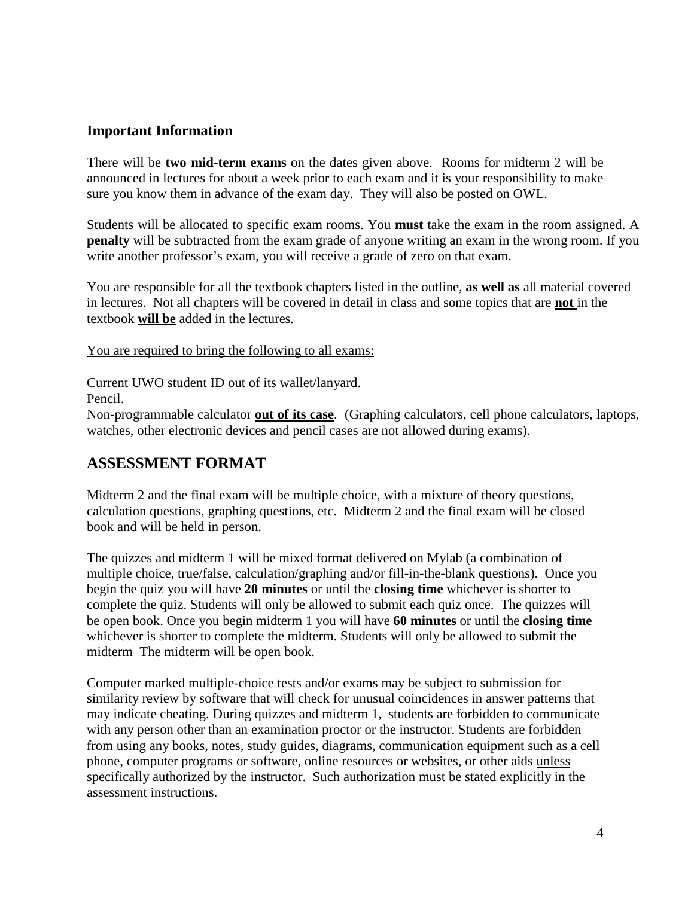## **Important Information**

There will be **two mid-term exams** on the dates given above. Rooms for midterm 2 will be announced in lectures for about a week prior to each exam and it is your responsibility to make sure you know them in advance of the exam day. They will also be posted on OWL.

Students will be allocated to specific exam rooms. You **must** take the exam in the room assigned. A **penalty** will be subtracted from the exam grade of anyone writing an exam in the wrong room. If you write another professor's exam, you will receive a grade of zero on that exam.

You are responsible for all the textbook chapters listed in the outline, **as well as** all material covered in lectures. Not all chapters will be covered in detail in class and some topics that are **not** in the textbook **will be** added in the lectures.

You are required to bring the following to all exams:

Current UWO student ID out of its wallet/lanyard.

Pencil.

Non-programmable calculator **out of its case**. (Graphing calculators, cell phone calculators, laptops, watches, other electronic devices and pencil cases are not allowed during exams).

## **ASSESSMENT FORMAT**

Midterm 2 and the final exam will be multiple choice, with a mixture of theory questions, calculation questions, graphing questions, etc. Midterm 2 and the final exam will be closed book and will be held in person.

The quizzes and midterm 1 will be mixed format delivered on Mylab (a combination of multiple choice, true/false, calculation/graphing and/or fill-in-the-blank questions). Once you begin the quiz you will have **20 minutes** or until the **closing time** whichever is shorter to complete the quiz. Students will only be allowed to submit each quiz once. The quizzes will be open book. Once you begin midterm 1 you will have **60 minutes** or until the **closing time** whichever is shorter to complete the midterm. Students will only be allowed to submit the midterm The midterm will be open book.

Computer marked multiple-choice tests and/or exams may be subject to submission for similarity review by software that will check for unusual coincidences in answer patterns that may indicate cheating. During quizzes and midterm 1, students are forbidden to communicate with any person other than an examination proctor or the instructor. Students are forbidden from using any books, notes, study guides, diagrams, communication equipment such as a cell phone, computer programs or software, online resources or websites, or other aids unless specifically authorized by the instructor. Such authorization must be stated explicitly in the assessment instructions.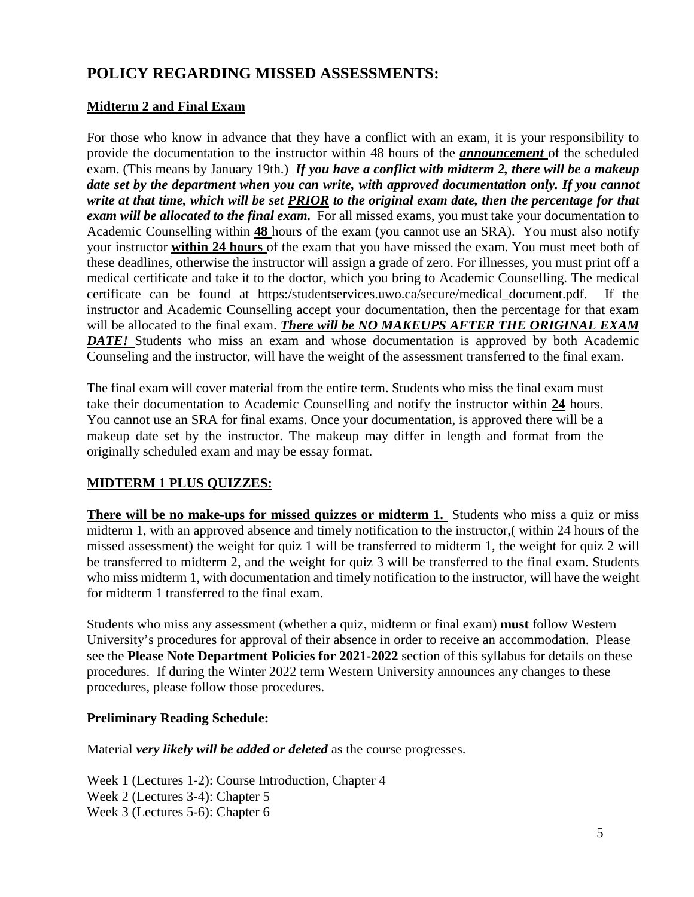## **POLICY REGARDING MISSED ASSESSMENTS:**

## **Midterm 2 and Final Exam**

For those who know in advance that they have a conflict with an exam, it is your responsibility to provide the documentation to the instructor within 48 hours of the *announcement* of the scheduled exam. (This means by January 19th.) *If you have a conflict with midterm 2, there will be a makeup date set by the department when you can write, with approved documentation only. If you cannot write at that time, which will be set PRIOR to the original exam date, then the percentage for that exam will be allocated to the final exam.* For all missed exams, you must take your documentation to Academic Counselling within **48** hours of the exam (you cannot use an SRA). You must also notify your instructor **within 24 hours** of the exam that you have missed the exam. You must meet both of these deadlines, otherwise the instructor will assign a grade of zero. For illnesses, you must print off a medical certificate and take it to the doctor, which you bring to Academic Counselling. The medical certificate can be found at https:/studentservices.uwo.ca/secure/medical\_document.pdf. If the instructor and Academic Counselling accept your documentation, then the percentage for that exam will be allocated to the final exam. *There will be NO MAKEUPS AFTER THE ORIGINAL EXAM DATE!* Students who miss an exam and whose documentation is approved by both Academic Counseling and the instructor, will have the weight of the assessment transferred to the final exam.

The final exam will cover material from the entire term. Students who miss the final exam must take their documentation to Academic Counselling and notify the instructor within **24** hours. You cannot use an SRA for final exams. Once your documentation, is approved there will be a makeup date set by the instructor. The makeup may differ in length and format from the originally scheduled exam and may be essay format.

### **MIDTERM 1 PLUS QUIZZES:**

**There will be no make-ups for missed quizzes or midterm 1.** Students who miss a quiz or miss midterm 1, with an approved absence and timely notification to the instructor,( within 24 hours of the missed assessment) the weight for quiz 1 will be transferred to midterm 1, the weight for quiz 2 will be transferred to midterm 2, and the weight for quiz 3 will be transferred to the final exam. Students who miss midterm 1, with documentation and timely notification to the instructor, will have the weight for midterm 1 transferred to the final exam.

Students who miss any assessment (whether a quiz, midterm or final exam) **must** follow Western University's procedures for approval of their absence in order to receive an accommodation. Please see the **Please Note Department Policies for 2021-2022** section of this syllabus for details on these procedures. If during the Winter 2022 term Western University announces any changes to these procedures, please follow those procedures.

#### **Preliminary Reading Schedule:**

Material *very likely will be added or deleted* as the course progresses.

Week 1 (Lectures 1-2): Course Introduction, Chapter 4 Week 2 (Lectures 3-4): Chapter 5 Week 3 (Lectures 5-6): Chapter 6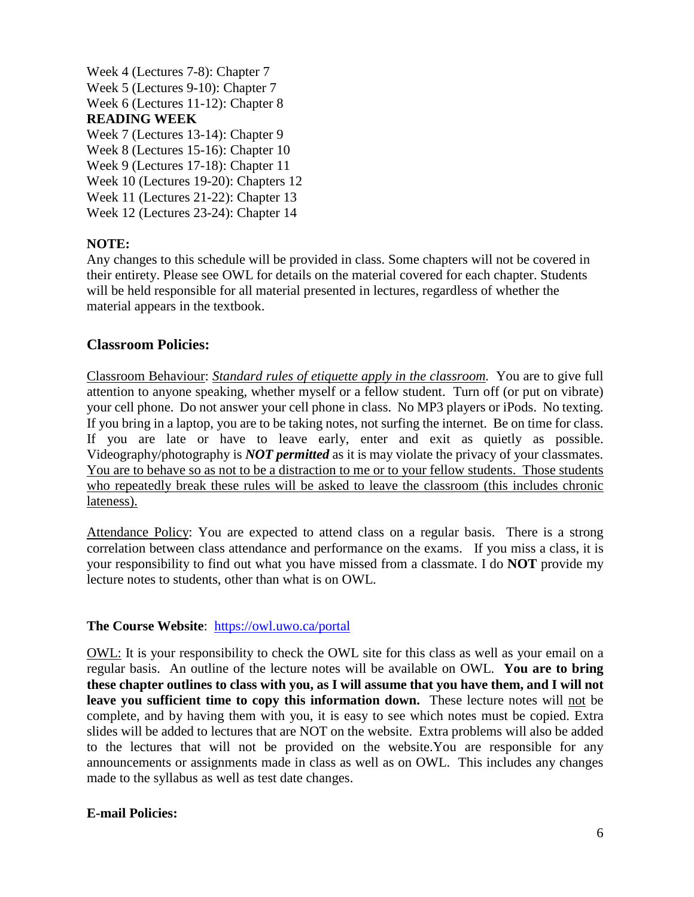Week 4 (Lectures 7-8): Chapter 7 Week 5 (Lectures 9-10): Chapter 7 Week 6 (Lectures 11-12): Chapter 8 **READING WEEK**  Week 7 (Lectures 13-14): Chapter 9 Week 8 (Lectures 15-16): Chapter 10 Week 9 (Lectures 17-18): Chapter 11 Week 10 (Lectures 19-20): Chapters 12

Week 11 (Lectures 21-22): Chapter 13

# Week 12 (Lectures 23-24): Chapter 14

#### **NOTE:**

Any changes to this schedule will be provided in class. Some chapters will not be covered in their entirety. Please see OWL for details on the material covered for each chapter. Students will be held responsible for all material presented in lectures, regardless of whether the material appears in the textbook.

#### **Classroom Policies:**

Classroom Behaviour: *Standard rules of etiquette apply in the classroom.* You are to give full attention to anyone speaking, whether myself or a fellow student. Turn off (or put on vibrate) your cell phone. Do not answer your cell phone in class. No MP3 players or iPods. No texting. If you bring in a laptop, you are to be taking notes, not surfing the internet. Be on time for class. If you are late or have to leave early, enter and exit as quietly as possible. Videography/photography is *NOT permitted* as it is may violate the privacy of your classmates. You are to behave so as not to be a distraction to me or to your fellow students. Those students who repeatedly break these rules will be asked to leave the classroom (this includes chronic lateness).

Attendance Policy: You are expected to attend class on a regular basis. There is a strong correlation between class attendance and performance on the exams. If you miss a class, it is your responsibility to find out what you have missed from a classmate. I do **NOT** provide my lecture notes to students, other than what is on OWL.

#### **The Course Website**: https://owl.uwo.ca/portal

OWL: It is your responsibility to check the OWL site for this class as well as your email on a regular basis. An outline of the lecture notes will be available on OWL. **You are to bring these chapter outlines to class with you, as I will assume that you have them, and I will not leave you sufficient time to copy this information down.** These lecture notes will not be complete, and by having them with you, it is easy to see which notes must be copied. Extra slides will be added to lectures that are NOT on the website. Extra problems will also be added to the lectures that will not be provided on the website.You are responsible for any announcements or assignments made in class as well as on OWL. This includes any changes made to the syllabus as well as test date changes.

#### **E-mail Policies:**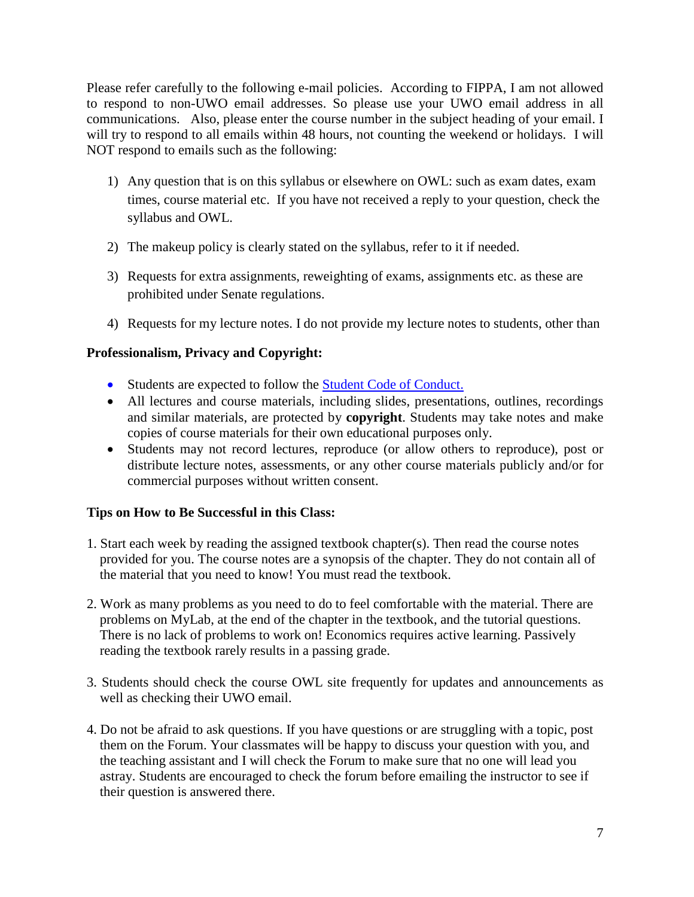Please refer carefully to the following e-mail policies. According to FIPPA, I am not allowed to respond to non-UWO email addresses. So please use your UWO email address in all communications. Also, please enter the course number in the subject heading of your email. I will try to respond to all emails within 48 hours, not counting the weekend or holidays. I will NOT respond to emails such as the following:

- 1) Any question that is on this syllabus or elsewhere on OWL: such as exam dates, exam times, course material etc. If you have not received a reply to your question, check the syllabus and OWL.
- 2) The makeup policy is clearly stated on the syllabus, refer to it if needed.
- 3) Requests for extra assignments, reweighting of exams, assignments etc. as these are prohibited under Senate regulations.
- 4) Requests for my lecture notes. I do not provide my lecture notes to students, other than

#### **Professionalism, Privacy and Copyright:**

- Students are expected to follow the [Student Code of Conduct.](https://www.uwo.ca/univsec/pdf/board/code.pdf)
- All lectures and course materials, including slides, presentations, outlines, recordings and similar materials, are protected by **copyright**. Students may take notes and make copies of course materials for their own educational purposes only.
- Students may not record lectures, reproduce (or allow others to reproduce), post or distribute lecture notes, assessments, or any other course materials publicly and/or for commercial purposes without written consent.

#### **Tips on How to Be Successful in this Class:**

- 1. Start each week by reading the assigned textbook chapter(s). Then read the course notes provided for you. The course notes are a synopsis of the chapter. They do not contain all of the material that you need to know! You must read the textbook.
- 2. Work as many problems as you need to do to feel comfortable with the material. There are problems on MyLab, at the end of the chapter in the textbook, and the tutorial questions. There is no lack of problems to work on! Economics requires active learning. Passively reading the textbook rarely results in a passing grade.
- 3. Students should check the course OWL site frequently for updates and announcements as well as checking their UWO email.
- 4. Do not be afraid to ask questions. If you have questions or are struggling with a topic, post them on the Forum. Your classmates will be happy to discuss your question with you, and the teaching assistant and I will check the Forum to make sure that no one will lead you astray. Students are encouraged to check the forum before emailing the instructor to see if their question is answered there.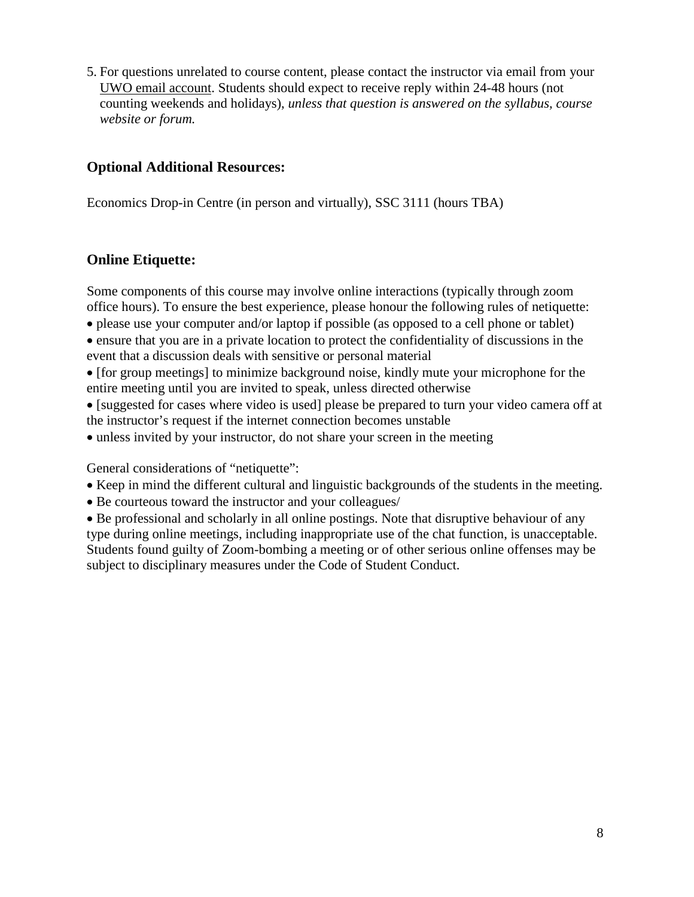5. For questions unrelated to course content, please contact the instructor via email from your UWO email account. Students should expect to receive reply within 24-48 hours (not counting weekends and holidays), *unless that question is answered on the syllabus, course website or forum.* 

## **Optional Additional Resources:**

Economics Drop-in Centre (in person and virtually), SSC 3111 (hours TBA)

## **Online Etiquette:**

Some components of this course may involve online interactions (typically through zoom office hours). To ensure the best experience, please honour the following rules of netiquette:

• please use your computer and/or laptop if possible (as opposed to a cell phone or tablet)

• ensure that you are in a private location to protect the confidentiality of discussions in the event that a discussion deals with sensitive or personal material

• [for group meetings] to minimize background noise, kindly mute your microphone for the entire meeting until you are invited to speak, unless directed otherwise

• [suggested for cases where video is used] please be prepared to turn your video camera off at the instructor's request if the internet connection becomes unstable

• unless invited by your instructor, do not share your screen in the meeting

General considerations of "netiquette":

- Keep in mind the different cultural and linguistic backgrounds of the students in the meeting.
- Be courteous toward the instructor and your colleagues/

• Be professional and scholarly in all online postings. Note that disruptive behaviour of any type during online meetings, including inappropriate use of the chat function, is unacceptable. Students found guilty of Zoom-bombing a meeting or of other serious online offenses may be subject to disciplinary measures under the Code of Student Conduct.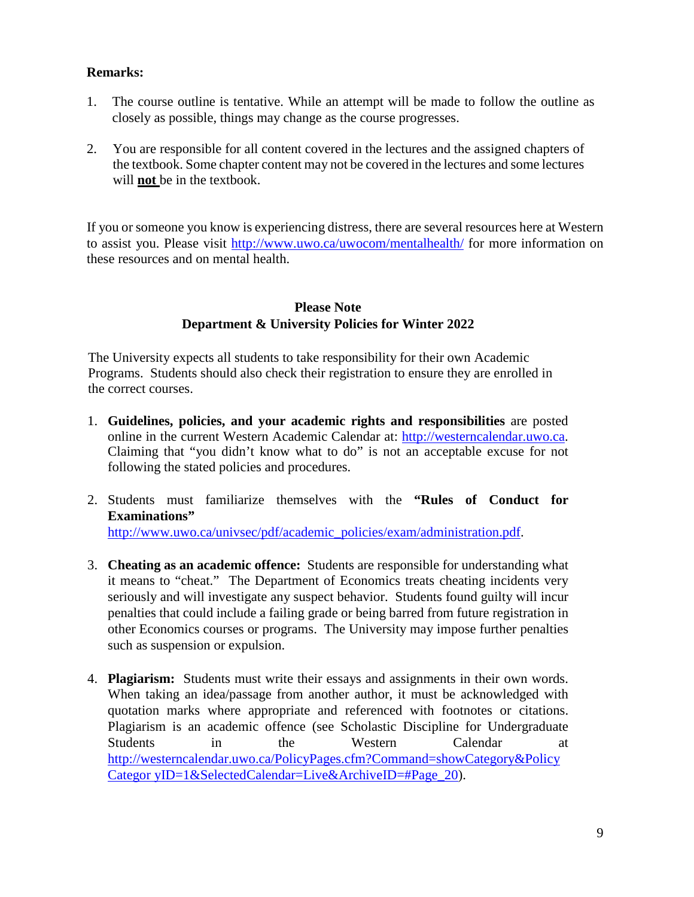### **Remarks:**

- 1. The course outline is tentative. While an attempt will be made to follow the outline as closely as possible, things may change as the course progresses.
- 2. You are responsible for all content covered in the lectures and the assigned chapters of the textbook. Some chapter content may not be covered in the lectures and some lectures will **not** be in the textbook.

If you or someone you know is experiencing distress, there are several resources here at Western to assist you. Please visit<http://www.uwo.ca/uwocom/mentalhealth/> for more information on these resources and on mental health.

### **Please Note Department & University Policies for Winter 2022**

The University expects all students to take responsibility for their own Academic Programs. Students should also check their registration to ensure they are enrolled in the correct courses.

- 1. **Guidelines, policies, and your academic rights and responsibilities** are posted online in the current Western Academic Calendar at: [http://westerncalendar.uwo.ca.](http://westerncalendar.uwo.ca/)  Claiming that "you didn't know what to do" is not an acceptable excuse for not following the stated policies and procedures.
- 2. Students must familiarize themselves with the **"Rules of Conduct for Examinations"** [http://www.uwo.ca/univsec/pdf/academic\\_policies/exam/administration.pdf.](http://www.uwo.ca/univsec/pdf/academic_policies/exam/administration.pdf)
- 3. **Cheating as an academic offence:** Students are responsible for understanding what it means to "cheat." The Department of Economics treats cheating incidents very seriously and will investigate any suspect behavior. Students found guilty will incur penalties that could include a failing grade or being barred from future registration in other Economics courses or programs. The University may impose further penalties such as suspension or expulsion.
- 4. **Plagiarism:** Students must write their essays and assignments in their own words. When taking an idea/passage from another author, it must be acknowledged with quotation marks where appropriate and referenced with footnotes or citations. Plagiarism is an academic offence (see Scholastic Discipline for Undergraduate Students in the Western Calendar at [http://westerncalendar.uwo.ca/PolicyPages.cfm?Command=showCategory&Policy](http://westerncalendar.uwo.ca/PolicyPages.cfm?Command=showCategory&PolicyCategoryID=1&SelectedCalendar=Live&ArchiveID=#Page_20) [Categor yID=1&SelectedCalendar=Live&ArchiveID=#Page\\_20\).](http://westerncalendar.uwo.ca/PolicyPages.cfm?Command=showCategory&PolicyCategoryID=1&SelectedCalendar=Live&ArchiveID=#Page_20)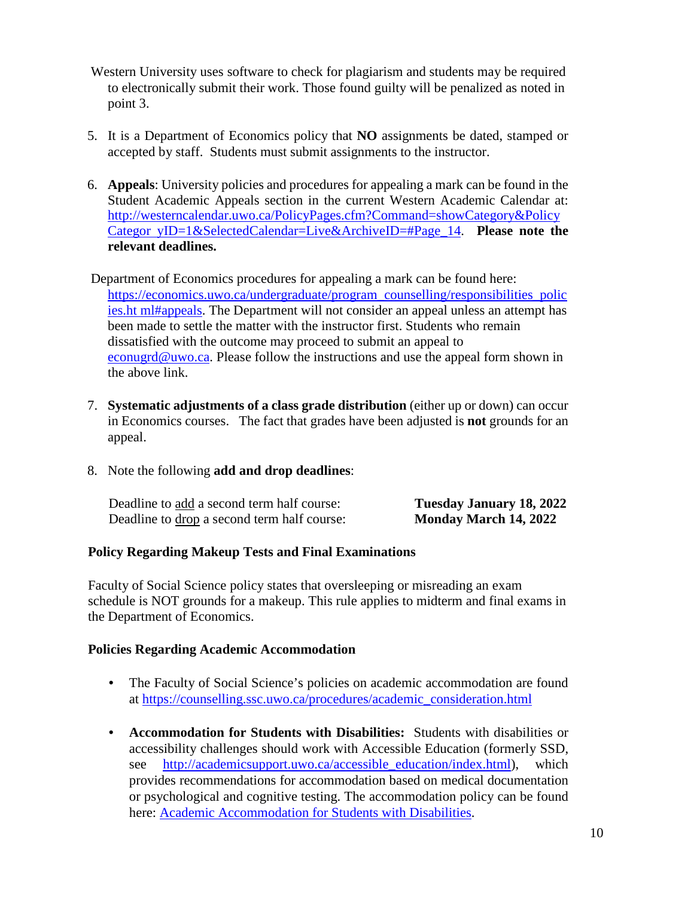- Western University uses software to check for plagiarism and students may be required to electronically submit their work. Those found guilty will be penalized as noted in point 3.
- 5. It is a Department of Economics policy that **NO** assignments be dated, stamped or accepted by staff. Students must submit assignments to the instructor.
- 6. **Appeals**: University policies and procedures for appealing a mark can be found in the Student Academic Appeals section in the current Western Academic Calendar at: [http://westerncalendar.uwo.ca/PolicyPages.cfm?Command=showCategory&Policy](http://westerncalendar.uwo.ca/PolicyPages.cfm?Command=showCategory&PolicyCategoryID=1&SelectedCalendar=Live&ArchiveID=#Page_14) [Categor yID=1&SelectedCalendar=Live&ArchiveID=#Page\\_14.](http://westerncalendar.uwo.ca/PolicyPages.cfm?Command=showCategory&PolicyCategoryID=1&SelectedCalendar=Live&ArchiveID=#Page_14) **Please note the relevant deadlines.**
- Department of Economics procedures for appealing a mark can be found here: [https://economics.uwo.ca/undergraduate/program\\_counselling/responsibilities\\_polic](https://economics.uwo.ca/undergraduate/program_counselling/responsibilities_policies.html#appeals) [ies.ht ml#appeals.](https://economics.uwo.ca/undergraduate/program_counselling/responsibilities_policies.html#appeals) The Department will not consider an appeal unless an attempt has been made to settle the matter with the instructor first. Students who remain dissatisfied with the outcome may proceed to submit an appeal to econugrd@uwo.ca. Please follow the instructions and use the appeal form shown in the above link.
- 7. **Systematic adjustments of a class grade distribution** (either up or down) can occur in Economics courses. The fact that grades have been adjusted is **not** grounds for an appeal.
- 8. Note the following **add and drop deadlines**:

| Deadline to add a second term half course:  | Tuesday January 18, 2022 |
|---------------------------------------------|--------------------------|
| Deadline to drop a second term half course: | Monday March 14, 2022    |

### **Policy Regarding Makeup Tests and Final Examinations**

Faculty of Social Science policy states that oversleeping or misreading an exam schedule is NOT grounds for a makeup. This rule applies to midterm and final exams in the Department of Economics.

#### **Policies Regarding Academic Accommodation**

- The Faculty of Social Science's policies on academic accommodation are found at [https://counselling.ssc.uwo.ca/procedures/academic\\_consideration.html](https://counselling.ssc.uwo.ca/procedures/academic_consideration.html)
- **Accommodation for Students with Disabilities:** Students with disabilities or accessibility challenges should work with Accessible Education (formerly SSD, see [http://academicsupport.uwo.ca/accessible\\_education/index.html\),](http://academicsupport.uwo.ca/accessible_education/index.html) which provides recommendations for accommodation based on medical documentation or psychological and cognitive testing. The accommodation policy can be found here: [Academic Accommodation for Students with Disabilities.](https://www.uwo.ca/univsec/pdf/academic_policies/appeals/Academic%20Accommodation_disabilities.pdf)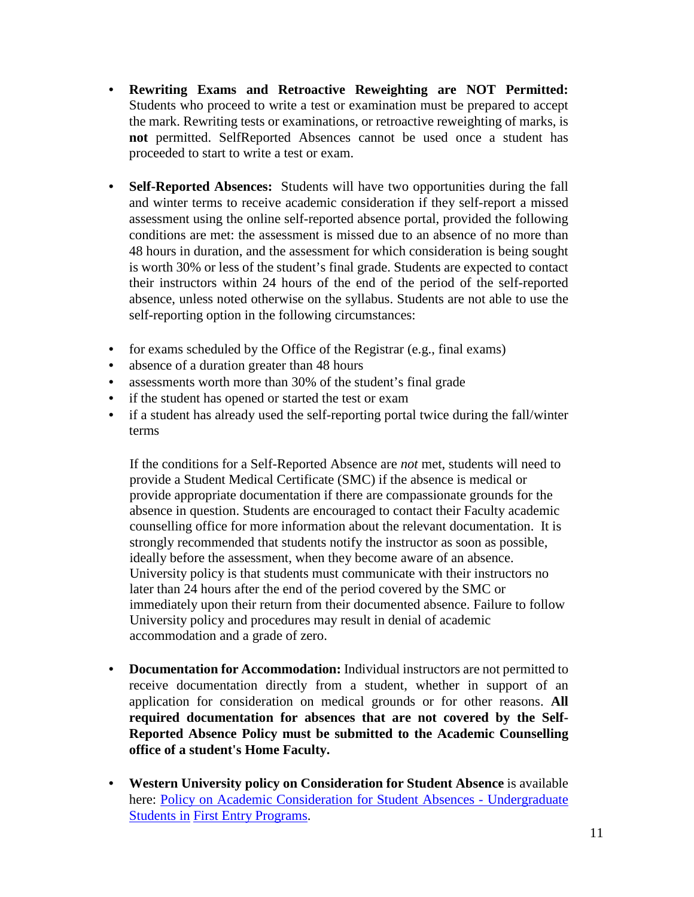- **Rewriting Exams and Retroactive Reweighting are NOT Permitted:** Students who proceed to write a test or examination must be prepared to accept the mark. Rewriting tests or examinations, or retroactive reweighting of marks, is **not** permitted. SelfReported Absences cannot be used once a student has proceeded to start to write a test or exam.
- **Self-Reported Absences:** Students will have two opportunities during the fall and winter terms to receive academic consideration if they self-report a missed assessment using the online self-reported absence portal, provided the following conditions are met: the assessment is missed due to an absence of no more than 48 hours in duration, and the assessment for which consideration is being sought is worth 30% or less of the student's final grade. Students are expected to contact their instructors within 24 hours of the end of the period of the self-reported absence, unless noted otherwise on the syllabus. Students are not able to use the self-reporting option in the following circumstances:
- for exams scheduled by the Office of the Registrar (e.g., final exams)
- absence of a duration greater than 48 hours
- assessments worth more than 30% of the student's final grade
- if the student has opened or started the test or exam
- if a student has already used the self-reporting portal twice during the fall/winter terms

If the conditions for a Self-Reported Absence are *not* met, students will need to provide a Student Medical Certificate (SMC) if the absence is medical or provide appropriate documentation if there are compassionate grounds for the absence in question. Students are encouraged to contact their Faculty academic counselling office for more information about the relevant documentation. It is strongly recommended that students notify the instructor as soon as possible, ideally before the assessment, when they become aware of an absence. University policy is that students must communicate with their instructors no later than 24 hours after the end of the period covered by the SMC or immediately upon their return from their documented absence. Failure to follow University policy and procedures may result in denial of academic accommodation and a grade of zero.

- **Documentation for Accommodation:** Individual instructors are not permitted to receive documentation directly from a student, whether in support of an application for consideration on medical grounds or for other reasons. **All required documentation for absences that are not covered by the Self-Reported Absence Policy must be submitted to the Academic Counselling office of a student's Home Faculty.**
- **Western University policy on Consideration for Student Absence** is available here: [Policy on Academic Consideration for Student Absences -](https://www.uwo.ca/univsec/pdf/academic_policies/appeals/accommodation_illness.pdf) Undergraduate [Students in](https://www.uwo.ca/univsec/pdf/academic_policies/appeals/accommodation_illness.pdf) [First Entry Programs.](https://www.uwo.ca/univsec/pdf/academic_policies/appeals/accommodation_illness.pdf)